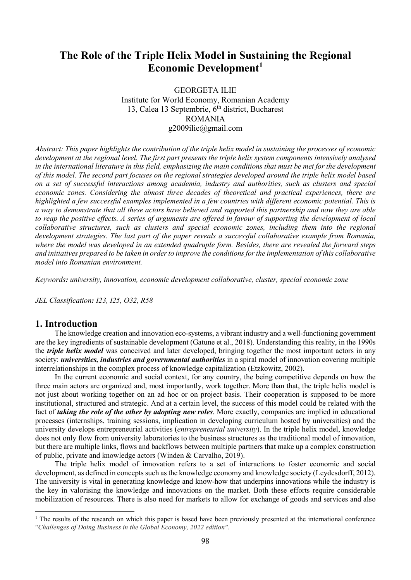# The Role of the Triple Helix Model in Sustaining the Regional Economic Development<sup>1</sup>

GEORGETA ILIE Institute for World Economy, Romanian Academy 13, Calea 13 Septembrie,  $6<sup>th</sup>$  district, Bucharest ROMANIA g2009ilie@gmail.com

Abstract: This paper highlights the contribution of the triple helix model in sustaining the processes of economic development at the regional level. The first part presents the triple helix system components intensively analysed in the international literature in this field, emphasizing the main conditions that must be met for the development of this model. The second part focuses on the regional strategies developed around the triple helix model based on a set of successful interactions among academia, industry and authorities, such as clusters and special economic zones. Considering the almost three decades of theoretical and practical experiences, there are highlighted a few successful examples implemented in a few countries with different economic potential. This is a way to demonstrate that all these actors have believed and supported this partnership and now they are able to reap the positive effects. A series of arguments are offered in favour of supporting the development of local collaborative structures, such as clusters and special economic zones, including them into the regional development strategies. The last part of the paper reveals a successful collaborative example from Romania, where the model was developed in an extended quadruple form. Besides, there are revealed the forward steps and initiatives prepared to be taken in order to improve the conditions for the implementation of this collaborative model into Romanian environment.

Keywords: university, innovation, economic development collaborative, cluster, special economic zone

JEL Classification: I23, I25, O32, R58

#### 1. Introduction

-

The knowledge creation and innovation eco-systems, a vibrant industry and a well-functioning government are the key ingredients of sustainable development (Gatune et al., 2018). Understanding this reality, in the 1990s the *triple helix model* was conceived and later developed, bringing together the most important actors in any society: *universities, industries and governmental authorities* in a spiral model of innovation covering multiple interrelationships in the complex process of knowledge capitalization (Etzkowitz, 2002).

In the current economic and social context, for any country, the being competitive depends on how the three main actors are organized and, most importantly, work together. More than that, the triple helix model is not just about working together on an ad hoc or on project basis. Their cooperation is supposed to be more institutional, structured and strategic. And at a certain level, the success of this model could be related with the fact of *taking the role of the other by adopting new roles*. More exactly, companies are implied in educational processes (internships, training sessions, implication in developing curriculum hosted by universities) and the university develops entrepreneurial activities *(entrepreneurial university)*. In the triple helix model, knowledge does not only flow from university laboratories to the business structures as the traditional model of innovation, but there are multiple links, flows and backflows between multiple partners that make up a complex construction of public, private and knowledge actors (Winden & Carvalho, 2019).

The triple helix model of innovation refers to a set of interactions to foster economic and social development, as defined in concepts such as the knowledge economy and knowledge society (Leydesdorff, 2012). The university is vital in generating knowledge and know-how that underpins innovations while the industry is the key in valorising the knowledge and innovations on the market. Both these efforts require considerable mobilization of resources. There is also need for markets to allow for exchange of goods and services and also

<sup>&</sup>lt;sup>1</sup> The results of the research on which this paper is based have been previously presented at the international conference "Challenges of Doing Business in the Global Economy, 2022 edition".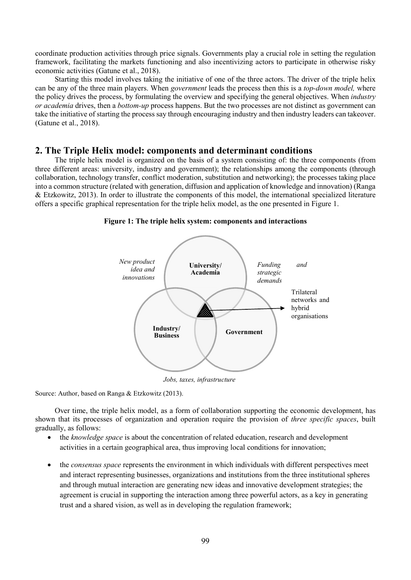coordinate production activities through price signals. Governments play a crucial role in setting the regulation framework, facilitating the markets functioning and also incentivizing actors to participate in otherwise risky economic activities (Gatune et al., 2018).

Starting this model involves taking the initiative of one of the three actors. The driver of the triple helix can be any of the three main players. When government leads the process then this is a top-down model, where the policy drives the process, by formulating the overview and specifying the general objectives. When industry or academia drives, then a bottom-up process happens. But the two processes are not distinct as government can take the initiative of starting the process say through encouraging industry and then industry leaders can takeover. (Gatune et al., 2018).

## 2. The Triple Helix model: components and determinant conditions

The triple helix model is organized on the basis of a system consisting of: the three components (from three different areas: university, industry and government); the relationships among the components (through collaboration, technology transfer, conflict moderation, substitution and networking); the processes taking place into a common structure (related with generation, diffusion and application of knowledge and innovation) (Ranga & Etzkowitz, 2013). In order to illustrate the components of this model, the international specialized literature offers a specific graphical representation for the triple helix model, as the one presented in Figure 1.



Figure 1: The triple helix system: components and interactions

Jobs, taxes, infrastructure

Source: Author, based on Ranga & Etzkowitz (2013).

Over time, the triple helix model, as a form of collaboration supporting the economic development, has shown that its processes of organization and operation require the provision of *three specific spaces*, built gradually, as follows:

- the knowledge space is about the concentration of related education, research and development activities in a certain geographical area, thus improving local conditions for innovation;
- the *consensus space* represents the environment in which individuals with different perspectives meet and interact representing businesses, organizations and institutions from the three institutional spheres and through mutual interaction are generating new ideas and innovative development strategies; the agreement is crucial in supporting the interaction among three powerful actors, as a key in generating trust and a shared vision, as well as in developing the regulation framework;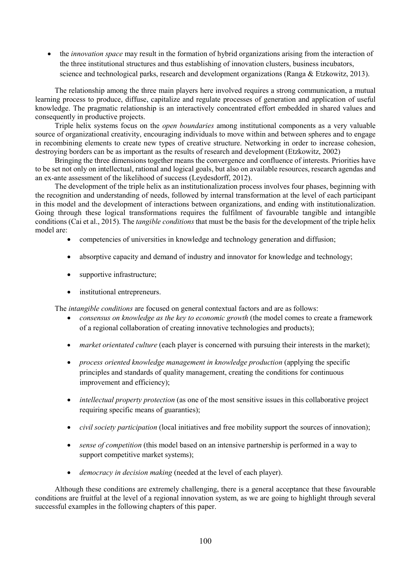the innovation space may result in the formation of hybrid organizations arising from the interaction of the three institutional structures and thus establishing of innovation clusters, business incubators, science and technological parks, research and development organizations (Ranga & Etzkowitz, 2013).

The relationship among the three main players here involved requires a strong communication, a mutual learning process to produce, diffuse, capitalize and regulate processes of generation and application of useful knowledge. The pragmatic relationship is an interactively concentrated effort embedded in shared values and consequently in productive projects.

Triple helix systems focus on the *open boundaries* among institutional components as a very valuable source of organizational creativity, encouraging individuals to move within and between spheres and to engage in recombining elements to create new types of creative structure. Networking in order to increase cohesion, destroying borders can be as important as the results of research and development (Etzkowitz, 2002)

Bringing the three dimensions together means the convergence and confluence of interests. Priorities have to be set not only on intellectual, rational and logical goals, but also on available resources, research agendas and an ex-ante assessment of the likelihood of success (Leydesdorff, 2012).

The development of the triple helix as an institutionalization process involves four phases, beginning with the recognition and understanding of needs, followed by internal transformation at the level of each participant in this model and the development of interactions between organizations, and ending with institutionalization. Going through these logical transformations requires the fulfilment of favourable tangible and intangible conditions (Cai et al., 2015). The *tangible conditions* that must be the basis for the development of the triple helix model are:

- competencies of universities in knowledge and technology generation and diffusion;
- absorptive capacity and demand of industry and innovator for knowledge and technology;
- supportive infrastructure;
- institutional entrepreneurs.

The *intangible conditions* are focused on general contextual factors and are as follows:

- consensus on knowledge as the key to economic growth (the model comes to create a framework of a regional collaboration of creating innovative technologies and products);
- *market orientated culture* (each player is concerned with pursuing their interests in the market);
- process oriented knowledge management in knowledge production (applying the specific principles and standards of quality management, creating the conditions for continuous improvement and efficiency);
- *intellectual property protection* (as one of the most sensitive issues in this collaborative project requiring specific means of guaranties);
- *civil society participation* (local initiatives and free mobility support the sources of innovation);
- sense of competition (this model based on an intensive partnership is performed in a way to support competitive market systems);
- democracy in decision making (needed at the level of each player).

Although these conditions are extremely challenging, there is a general acceptance that these favourable conditions are fruitful at the level of a regional innovation system, as we are going to highlight through several successful examples in the following chapters of this paper.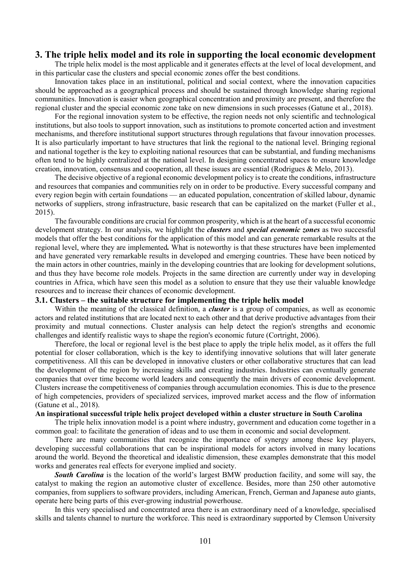### 3. The triple helix model and its role in supporting the local economic development

The triple helix model is the most applicable and it generates effects at the level of local development, and in this particular case the clusters and special economic zones offer the best conditions.

Innovation takes place in an institutional, political and social context, where the innovation capacities should be approached as a geographical process and should be sustained through knowledge sharing regional communities. Innovation is easier when geographical concentration and proximity are present, and therefore the regional cluster and the special economic zone take on new dimensions in such processes (Gatune et al., 2018).

For the regional innovation system to be effective, the region needs not only scientific and technological institutions, but also tools to support innovation, such as institutions to promote concerted action and investment mechanisms, and therefore institutional support structures through regulations that favour innovation processes. It is also particularly important to have structures that link the regional to the national level. Bringing regional and national together is the key to exploiting national resources that can be substantial, and funding mechanisms often tend to be highly centralized at the national level. In designing concentrated spaces to ensure knowledge creation, innovation, consensus and cooperation, all these issues are essential (Rodrigues & Melo, 2013).

The decisive objective of a regional economic development policy is to create the conditions, infrastructure and resources that companies and communities rely on in order to be productive. Every successful company and every region begin with certain foundations — an educated population, concentration of skilled labour, dynamic networks of suppliers, strong infrastructure, basic research that can be capitalized on the market (Fuller et al., 2015).

The favourable conditions are crucial for common prosperity, which is at the heart of a successful economic development strategy. In our analysis, we highlight the *clusters* and *special economic zones* as two successful models that offer the best conditions for the application of this model and can generate remarkable results at the regional level, where they are implemented. What is noteworthy is that these structures have been implemented and have generated very remarkable results in developed and emerging countries. These have been noticed by the main actors in other countries, mainly in the developing countries that are looking for development solutions, and thus they have become role models. Projects in the same direction are currently under way in developing countries in Africa, which have seen this model as a solution to ensure that they use their valuable knowledge resources and to increase their chances of economic development.

#### 3.1. Clusters – the suitable structure for implementing the triple helix model

Within the meaning of the classical definition, a *cluster* is a group of companies, as well as economic actors and related institutions that are located next to each other and that derive productive advantages from their proximity and mutual connections. Cluster analysis can help detect the region's strengths and economic challenges and identify realistic ways to shape the region's economic future (Cortright, 2006).

Therefore, the local or regional level is the best place to apply the triple helix model, as it offers the full potential for closer collaboration, which is the key to identifying innovative solutions that will later generate competitiveness. All this can be developed in innovative clusters or other collaborative structures that can lead the development of the region by increasing skills and creating industries. Industries can eventually generate companies that over time become world leaders and consequently the main drivers of economic development. Clusters increase the competitiveness of companies through accumulation economies. This is due to the presence of high competencies, providers of specialized services, improved market access and the flow of information (Gatune et al., 2018).

#### An inspirational successful triple helix project developed within a cluster structure in South Carolina

The triple helix innovation model is a point where industry, government and education come together in a common goal: to facilitate the generation of ideas and to use them in economic and social development.

There are many communities that recognize the importance of synergy among these key players, developing successful collaborations that can be inspirational models for actors involved in many locations around the world. Beyond the theoretical and idealistic dimension, these examples demonstrate that this model works and generates real effects for everyone implied and society.

South Carolina is the location of the world's largest BMW production facility, and some will say, the catalyst to making the region an automotive cluster of excellence. Besides, more than 250 other automotive companies, from suppliers to software providers, including American, French, German and Japanese auto giants, operate here being parts of this ever-growing industrial powerhouse.

In this very specialised and concentrated area there is an extraordinary need of a knowledge, specialised skills and talents channel to nurture the workforce. This need is extraordinary supported by Clemson University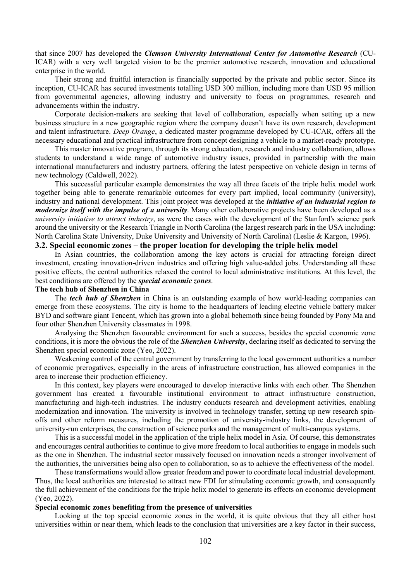that since 2007 has developed the Clemson University International Center for Automotive Research (CU-ICAR) with a very well targeted vision to be the premier automotive research, innovation and educational enterprise in the world.

Their strong and fruitful interaction is financially supported by the private and public sector. Since its inception, CU-ICAR has secured investments totalling USD 300 million, including more than USD 95 million from governmental agencies, allowing industry and university to focus on programmes, research and advancements within the industry.

Corporate decision-makers are seeking that level of collaboration, especially when setting up a new business structure in a new geographic region where the company doesn't have its own research, development and talent infrastructure. Deep Orange, a dedicated master programme developed by CU-ICAR, offers all the necessary educational and practical infrastructure from concept designing a vehicle to a market-ready prototype.

This master innovative program, through its strong education, research and industry collaboration, allows students to understand a wide range of automotive industry issues, provided in partnership with the main international manufacturers and industry partners, offering the latest perspective on vehicle design in terms of new technology (Caldwell, 2022).

This successful particular example demonstrates the way all three facets of the triple helix model work together being able to generate remarkable outcomes for every part implied, local community (university), industry and national development. This joint project was developed at the *initiative of an industrial region to* modernize itself with the impulse of a university. Many other collaborative projects have been developed as a university initiative to attract industry, as were the cases with the development of the Stanford's science park around the university or the Research Triangle in North Carolina (the largest research park in the USA including: North Carolina State University, Duke University and University of North Carolina) (Leslie & Kargon, 1996).

#### 3.2. Special economic zones – the proper location for developing the triple helix model

In Asian countries, the collaboration among the key actors is crucial for attracting foreign direct investment, creating innovation-driven industries and offering high value-added jobs. Understanding all these positive effects, the central authorities relaxed the control to local administrative institutions. At this level, the best conditions are offered by the special economic zones.

#### The tech hub of Shenzhen in China

The tech hub of Shenzhen in China is an outstanding example of how world-leading companies can emerge from these ecosystems. The city is home to the headquarters of leading electric vehicle battery maker BYD and software giant Tencent, which has grown into a global behemoth since being founded by Pony Ma and four other Shenzhen University classmates in 1998.

Analysing the Shenzhen favourable environment for such a success, besides the special economic zone conditions, it is more the obvious the role of the **Shenzhen University**, declaring itself as dedicated to serving the Shenzhen special economic zone (Yeo, 2022).

Weakening control of the central government by transferring to the local government authorities a number of economic prerogatives, especially in the areas of infrastructure construction, has allowed companies in the area to increase their production efficiency.

In this context, key players were encouraged to develop interactive links with each other. The Shenzhen government has created a favourable institutional environment to attract infrastructure construction, manufacturing and high-tech industries. The industry conducts research and development activities, enabling modernization and innovation. The university is involved in technology transfer, setting up new research spinoffs and other reform measures, including the promotion of university-industry links, the development of university-run enterprises, the construction of science parks and the management of multi-campus systems.

This is a successful model in the application of the triple helix model in Asia. Of course, this demonstrates and encourages central authorities to continue to give more freedom to local authorities to engage in models such as the one in Shenzhen. The industrial sector massively focused on innovation needs a stronger involvement of the authorities, the universities being also open to collaboration, so as to achieve the effectiveness of the model.

These transformations would allow greater freedom and power to coordinate local industrial development. Thus, the local authorities are interested to attract new FDI for stimulating economic growth, and consequently the full achievement of the conditions for the triple helix model to generate its effects on economic development (Yeo, 2022).

#### Special economic zones benefiting from the presence of universities

Looking at the top special economic zones in the world, it is quite obvious that they all either host universities within or near them, which leads to the conclusion that universities are a key factor in their success,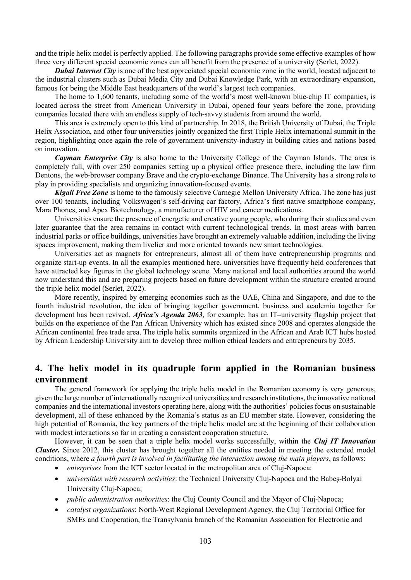and the triple helix model is perfectly applied. The following paragraphs provide some effective examples of how three very different special economic zones can all benefit from the presence of a university (Serlet, 2022).

**Dubai Internet City** is one of the best appreciated special economic zone in the world, located adjacent to the industrial clusters such as Dubai Media City and Dubai Knowledge Park, with an extraordinary expansion, famous for being the Middle East headquarters of the world's largest tech companies.

The home to 1,600 tenants, including some of the world's most well-known blue-chip IT companies, is located across the street from American University in Dubai, opened four years before the zone, providing companies located there with an endless supply of tech-savvy students from around the world.

This area is extremely open to this kind of partnership. In 2018, the British University of Dubai, the Triple Helix Association, and other four universities jointly organized the first Triple Helix international summit in the region, highlighting once again the role of government-university-industry in building cities and nations based on innovation.

Cayman Enterprise City is also home to the University College of the Cayman Islands. The area is completely full, with over 250 companies setting up a physical office presence there, including the law firm Dentons, the web-browser company Brave and the crypto-exchange Binance. The University has a strong role to play in providing specialists and organizing innovation-focused events.

**Kigali Free Zone** is home to the famously selective Carnegie Mellon University Africa. The zone has just over 100 tenants, including Volkswagen's self-driving car factory, Africa's first native smartphone company, Mara Phones, and Apex Biotechnology, a manufacturer of HIV and cancer medications.

Universities ensure the presence of energetic and creative young people, who during their studies and even later guarantee that the area remains in contact with current technological trends. In most areas with barren industrial parks or office buildings, universities have brought an extremely valuable addition, including the living spaces improvement, making them livelier and more oriented towards new smart technologies.

Universities act as magnets for entrepreneurs, almost all of them have entrepreneurship programs and organize start-up events. In all the examples mentioned here, universities have frequently held conferences that have attracted key figures in the global technology scene. Many national and local authorities around the world now understand this and are preparing projects based on future development within the structure created around the triple helix model (Serlet, 2022).

More recently, inspired by emerging economies such as the UAE, China and Singapore, and due to the fourth industrial revolution, the idea of bringing together government, business and academia together for development has been revived. Africa's Agenda 2063, for example, has an IT-university flagship project that builds on the experience of the Pan African University which has existed since 2008 and operates alongside the African continental free trade area. The triple helix summits organized in the African and Arab ICT hubs hosted by African Leadership University aim to develop three million ethical leaders and entrepreneurs by 2035.

## 4. The helix model in its quadruple form applied in the Romanian business environment

The general framework for applying the triple helix model in the Romanian economy is very generous, given the large number of internationally recognized universities and research institutions, the innovative national companies and the international investors operating here, along with the authorities' policies focus on sustainable development, all of these enhanced by the Romania's status as an EU member state. However, considering the high potential of Romania, the key partners of the triple helix model are at the beginning of their collaboration with modest interactions so far in creating a consistent cooperation structure.

However, it can be seen that a triple helix model works successfully, within the *Cluj IT Innovation* Cluster. Since 2012, this cluster has brought together all the entities needed in meeting the extended model conditions, where a fourth part is involved in facilitating the interaction among the main players, as follows:

- enterprises from the ICT sector located in the metropolitan area of Cluj-Napoca:
- universities with research activities: the Technical University Cluj-Napoca and the Babeş-Bolyai University Cluj-Napoca;
- *public administration authorities*: the Cluj County Council and the Mayor of Cluj-Napoca;
- catalyst organizations: North-West Regional Development Agency, the Cluj Territorial Office for SMEs and Cooperation, the Transylvania branch of the Romanian Association for Electronic and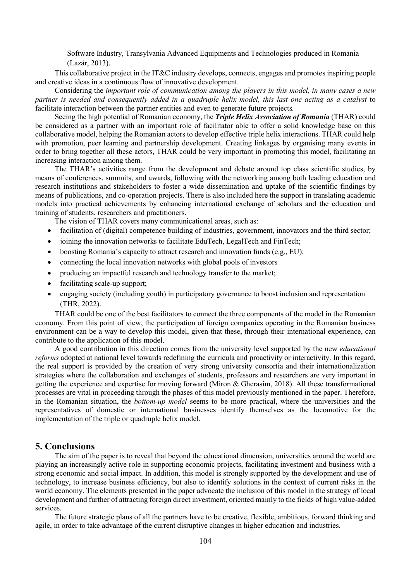Software Industry, Transylvania Advanced Equipments and Technologies produced in Romania (Lazăr, 2013).

This collaborative project in the IT&C industry develops, connects, engages and promotes inspiring people and creative ideas in a continuous flow of innovative development.

Considering the important role of communication among the players in this model, in many cases a new partner is needed and consequently added in a quadruple helix model, this last one acting as a catalyst to facilitate interaction between the partner entities and even to generate future projects.

Seeing the high potential of Romanian economy, the *Triple Helix Association of Romania* (THAR) could be considered as a partner with an important role of facilitator able to offer a solid knowledge base on this collaborative model, helping the Romanian actors to develop effective triple helix interactions. THAR could help with promotion, peer learning and partnership development. Creating linkages by organising many events in order to bring together all these actors, THAR could be very important in promoting this model, facilitating an increasing interaction among them.

The THAR's activities range from the development and debate around top class scientific studies, by means of conferences, summits, and awards, following with the networking among both leading education and research institutions and stakeholders to foster a wide dissemination and uptake of the scientific findings by means of publications, and co-operation projects. There is also included here the support in translating academic models into practical achievements by enhancing international exchange of scholars and the education and training of students, researchers and practitioners.

The vision of THAR covers many communicational areas, such as:

- facilitation of (digital) competence building of industries, government, innovators and the third sector;
- joining the innovation networks to facilitate EduTech, LegalTech and FinTech;
- boosting Romania's capacity to attract research and innovation funds (e.g., EU);
- connecting the local innovation networks with global pools of investors
- producing an impactful research and technology transfer to the market;
- facilitating scale-up support;
- engaging society (including youth) in participatory governance to boost inclusion and representation (THR, 2022).

THAR could be one of the best facilitators to connect the three components of the model in the Romanian economy. From this point of view, the participation of foreign companies operating in the Romanian business environment can be a way to develop this model, given that these, through their international experience, can contribute to the application of this model.

A good contribution in this direction comes from the university level supported by the new educational reforms adopted at national level towards redefining the curricula and proactivity or interactivity. In this regard, the real support is provided by the creation of very strong university consortia and their internationalization strategies where the collaboration and exchanges of students, professors and researchers are very important in getting the experience and expertise for moving forward (Miron & Gherasim, 2018). All these transformational processes are vital in proceeding through the phases of this model previously mentioned in the paper. Therefore, in the Romanian situation, the bottom-up model seems to be more practical, where the universities and the representatives of domestic or international businesses identify themselves as the locomotive for the implementation of the triple or quadruple helix model.

#### 5. Conclusions

The aim of the paper is to reveal that beyond the educational dimension, universities around the world are playing an increasingly active role in supporting economic projects, facilitating investment and business with a strong economic and social impact. In addition, this model is strongly supported by the development and use of technology, to increase business efficiency, but also to identify solutions in the context of current risks in the world economy. The elements presented in the paper advocate the inclusion of this model in the strategy of local development and further of attracting foreign direct investment, oriented mainly to the fields of high value-added services.

The future strategic plans of all the partners have to be creative, flexible, ambitious, forward thinking and agile, in order to take advantage of the current disruptive changes in higher education and industries.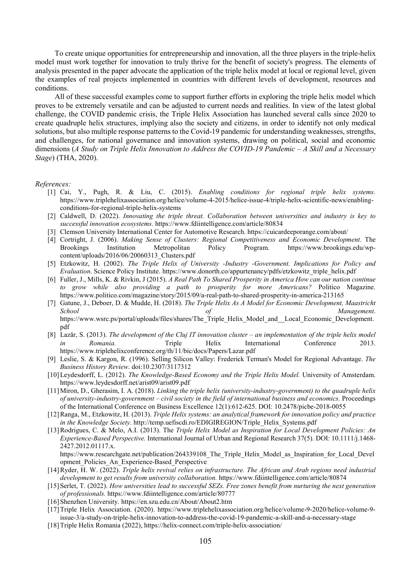To create unique opportunities for entrepreneurship and innovation, all the three players in the triple-helix model must work together for innovation to truly thrive for the benefit of society's progress. The elements of analysis presented in the paper advocate the application of the triple helix model at local or regional level, given the examples of real projects implemented in countries with different levels of development, resources and conditions.

All of these successful examples come to support further efforts in exploring the triple helix model which proves to be extremely versatile and can be adjusted to current needs and realities. In view of the latest global challenge, the COVID pandemic crisis, the Triple Helix Association has launched several calls since 2020 to create quadruple helix structures, implying also the society and citizens, in order to identify not only medical solutions, but also multiple response patterns to the Covid-19 pandemic for understanding weaknesses, strengths, and challenges, for national governance and innovation systems, drawing on political, social and economic dimensions (A Study on Triple Helix Innovation to Address the COVID-19 Pandemic  $-A$  Skill and a Necessary Stage) (THA, 2020).

#### References:

- [1] Cai, Y., Pugh, R. & Liu, C. (2015). Enabling conditions for regional triple helix systems. https://www.triplehelixassociation.org/helice/volume-4-2015/helice-issue-4/triple-helix-scientific-news/enablingconditions-for-regional-triple-helix-systems
- [2] Caldwell, D. (2022). Innovating the triple threat. Collaboration between universities and industry is key to successful innovation ecosystems. https://www.fdiintelligence.com/article/80834
- [3] Clemson University International Center for Automotive Research. https://cuicardeeporange.com/about/
- [4] Cortright, J. (2006). Making Sense of Clusters: Regional Competitiveness and Economic Development. The Brookings Institution Metropolitan Policy Program. https://www.brookings.edu/wpcontent/uploads/2016/06/20060313\_Clusters.pdf
- [5] Etzkowitz, H. (2002). The Triple Helix of University -Industry -Government. Implications for Policy and Evaluation. Science Policy Institute. https://www.donorth.co/appurtenancy/pdfs/etzkowitz\_triple\_helix.pdf
- [6] Fuller, J., Mills, K. & Rivkin, J (2015). A Real Path To Shared Prosperity in America How can our nation continue to grow while also providing a path to prosperity for more Americans? Politico Magazine. https://www.politico.com/magazine/story/2015/09/a-real-path-to-shared-prosperity-in-america-213165
- [7] Gatune, J., Deboer, D. & Mudde, H. (2018). The Triple Helix As A Model for Economic Development, Maastricht School and School of the Management. https://www.wsrc.ps/portal/uploads/files/shares/The\_Triple\_Helix\_Model\_and\_\_Local\_Economic\_Development. pdf
- [8] Lazăr, S. (2013). The development of the Cluj IT innovation cluster an implementation of the triple helix model in Romania. Triple Helix International Conference 2013. https://www.triplehelixconference.org/th/11/bic/docs/Papers/Lazar.pdf
- [9] Leslie, S. & Kargon, R. (1996). Selling Silicon Valley: Frederick Terman's Model for Regional Advantage. The Business History Review. doi:10.2307/3117312
- [10]Leydesdorff, L. (2012). The Knowledge-Based Economy and the Triple Helix Model. University of Amsterdam. https://www.leydesdorff.net/arist09/arist09.pdf
- [11]Miron, D., Gherasim, I. A. (2018). Linking the triple helix (university-industry-government) to the quadruple helix of university-industry-government – civil society in the field of international business and economics. Proceedings of the International Conference on Business Excellence 12(1):612-625. DOI: 10.2478/picbe-2018-0055
- [12]Ranga, M., Etzkowitz, H. (2013). Triple Helix systems: an analytical framework for innovation policy and practice in the Knowledge Society. http://temp.uefiscdi.ro/EDIGIREGION/Triple\_Helix\_Systems.pdf
- [13]Rodrigues, C. & Melo, A.I. (2013). The Triple Helix Model as Inspiration for Local Development Policies: An Experience-Based Perspective. International Journal of Urban and Regional Research 37(5). DOI: 10.1111/j.1468- 2427.2012.01117.x.

https://www.researchgate.net/publication/264339108\_The\_Triple\_Helix\_Model\_as\_Inspiration\_for\_Local\_Devel opment\_Policies\_An\_Experience-Based\_Perspective

- [14]Ryder, H. W. (2022). Triple helix revival relies on infrastructure. The African and Arab regions need industrial development to get results from university collaboration. https://www.fdiintelligence.com/article/80874
- [15] Serlet, T. (2022). How universities lead to successful SEZs. Free zones benefit from nurturing the next generation of professionals. https://www.fdiintelligence.com/article/80777
- [16]Shenzhen University. https://en.szu.edu.cn/About/About2.htm
- [17]Triple Helix Association. (2020). https://www.triplehelixassociation.org/helice/volume-9-2020/helice-volume-9 issue-3/a-study-on-triple-helix-innovation-to-address-the-covid-19-pandemic-a-skill-and-a-necessary-stage
- [18]Triple Helix Romania (2022), https://helix-connect.com/triple-helix-association/